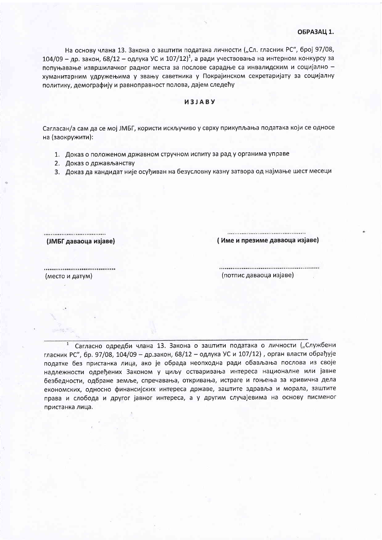На основу члана 13. Закона о заштити података личности ("Сл. гласник РС", број 97/08, 104/09 – др. закон, 68/12 – одлука УС и 107/12)<sup>1</sup>, а ради учествовања на интерном конкурсу за попуњавање извршилачког радног места за послове сарадње са инвалидским и социјално хуманитарним удружењима у звању саветника у Покрајинском секретаријату за социјалну политику, демографију и равноправност полова, дајем следећу

## *M3JABY*

Сагласан/а сам да се мој ЈМБГ, користи искључиво у сврху прикупљања података који се односе на (заокружити):

- 1. Доказ о положеном државном стручном испиту за рад у органима управе
- 2. Доказ о држављанству
- 3. Доказ да кандидат није осуђиван на безусловну казну затвора од најмање шест месеци

(ЈМБГ даваоца изјаве)

(Име и презиме даваоца изјаве)

(место и датум)

(потпис даваоца изјаве)

Сагласно одредби члана 13. Закона о заштити података о личности ("Службени гласник РС", бр. 97/08, 104/09 - др.закон, 68/12 - одлука УС и 107/12), орган власти обрађује податке без пристанка лица, ако је обрада неопходна ради обављања послова из своје надлежности одређених Законом у циљу остваривања интереса националне или јавне безбедности, одбране земље, спречавања, откривања, истраге и гоњења за кривична дела економских, односно финансијских интереса државе, заштите здравља и морала, заштите права и слобода и другог јавног интереса, а у другим случајевима на основу писменог пристанка лица.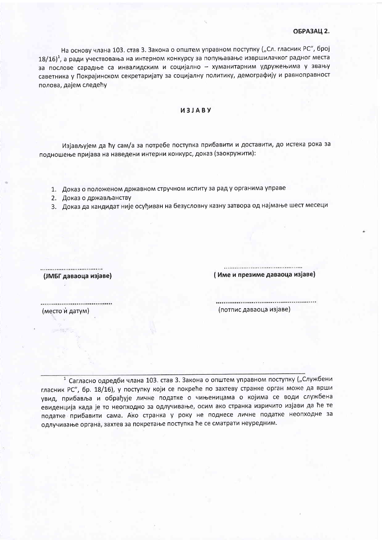## **ОБРАЗАЦ 2.**

На основу члана 103. став 3. Закона о општем управном поступку ("Сл. гласник РС", број  $18/16)^1$ , а ради учествовања на интерном конкурсу за попуњавање извршилачког радног места за послове сарадње са инвалидским и социјално - хуманитарним удружењима у звању саветника у Покрајинском секретаријату за социјалну политику, демографију и равноправност полова, дајем следећу

## *U3JABY*

Изјављујем да ћу сам/а за потребе поступка прибавити и доставити, до истека рока за подношење пријава на наведени интерни конкурс, доказ (заокружити):

- 1. Доказ о положеном државном стручном испиту за рад у органима управе
- 2. Доказ о држављанству
- 3. Доказ да кандидат није осуђиван на безусловну казну затвора од најмање шест месеци

(ЈМБГ даваоца изјаве)

(Име и презиме даваоца изјаве)

(место и датум)

(потпис даваоца изјаве)

<sup>1</sup> Сагласно одредби члана 103. став 3. Закона о општем управном поступку ("Службени гласник РС", бр. 18/16), у поступку који се покреће по захтеву странке орган може да врши увид, прибавља и обрађује личне податке о чињеницама о којима се води службена евиденција када је то неопходно за одлучивање, осим ако странка изричито изјави да ће те податке прибавити сама. Ако странка у року не поднесе личне податке неопходне за одлучивање органа, захтев за покретање поступка ће се сматрати неуредним.